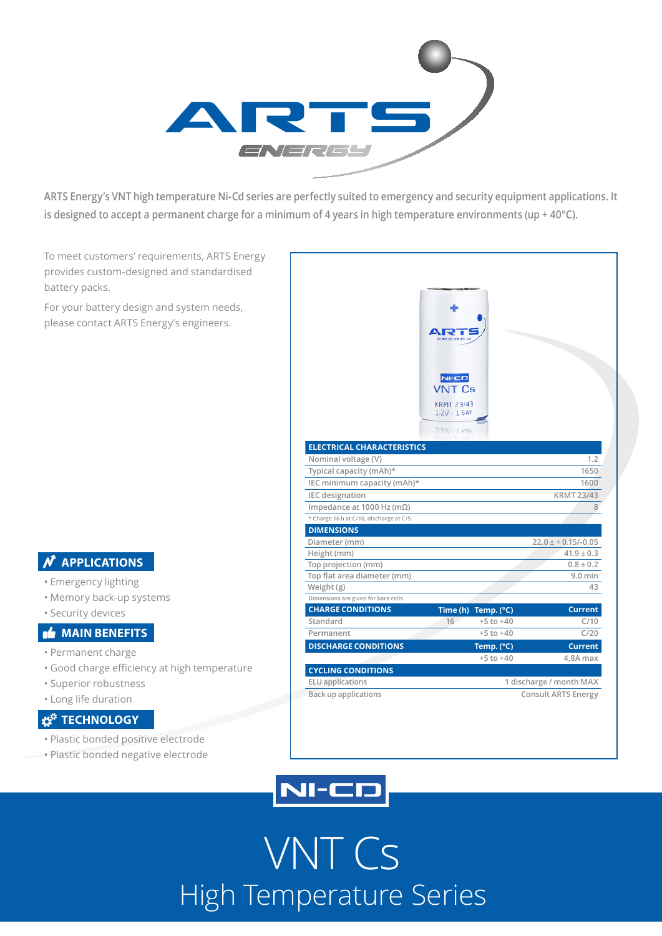

**ARTS Energy's VNT high temperature Ni-Cd series are perfectly suited to emergency and security equipment applications. It is designed to accept a permanent charge for a minimum of 4 years in high temperature environments (up + 40°C).**

To meet customers' requirements, ARTS Energy provides custom-designed and standardised battery packs.

For your battery design and system needs, please contact ARTS Energy's engineers.

### **N** APPLICATIONS

- Emergency lighting
- Memory back-up systems
- Security devices

### **MAIN BENEFITS**

- Permanent charge
- Good charge efficiency at high temperature
- Superior robustness
- Long life duration

### **TECHNOLOGY**

- Plastic bonded positive electrode
- Plastic bonded negative electrode

|                                          | $NI-CD$<br><b>VNT Cs</b><br><b>KRMT 23/43</b><br>$1.2V - 1.6Ah$ |                            |
|------------------------------------------|-----------------------------------------------------------------|----------------------------|
|                                          | $1.2V - 1.6Ah$                                                  |                            |
| <b>ELECTRICAL CHARACTERISTICS</b>        |                                                                 |                            |
| Nominal voltage (V)                      |                                                                 | 1.2                        |
| Typical capacity (mAh)*                  |                                                                 | 1650                       |
| IEC minimum capacity (mAh)*              |                                                                 | 1600                       |
| <b>IEC</b> designation                   |                                                                 | <b>KRMT 23/43</b>          |
| Impedance at 1000 Hz (m $\Omega$ )       |                                                                 | 8                          |
| * Charge 16 h at C/10, discharge at C/5. |                                                                 |                            |
| <b>DIMENSIONS</b>                        |                                                                 |                            |
| Diameter (mm)                            |                                                                 | $22.0 \pm +0.15/-0.05$     |
| Height (mm)                              |                                                                 | $41.9 \pm 0.3$             |
| Top projection (mm)                      |                                                                 | $0.8 \pm 0.2$              |
| Top flat area diameter (mm)              |                                                                 | $9.0$ min                  |
| Weight (g)                               |                                                                 | 43                         |
| Dimensions are given for bare cells.     |                                                                 |                            |
| <b>CHARGE CONDITIONS</b>                 | Time (h) Temp. (°C)                                             | <b>Current</b>             |
| Standard                                 | $+5$ to $+40$<br>16                                             | C/10                       |
| Permanent                                | $+5$ to $+40$                                                   | C/20                       |
| <b>DISCHARGE CONDITIONS</b>              | Temp. (°C)                                                      | <b>Current</b>             |
|                                          | $+5$ to $+40$                                                   | 4,8A max                   |
| <b>CYCLING CONDITIONS</b>                |                                                                 |                            |
| <b>ELU</b> applications                  | 1 discharge / month MAX                                         |                            |
| <b>Back up applications</b>              |                                                                 | <b>Consult ARTS Energy</b> |



# VNT Cs High Temperature Series